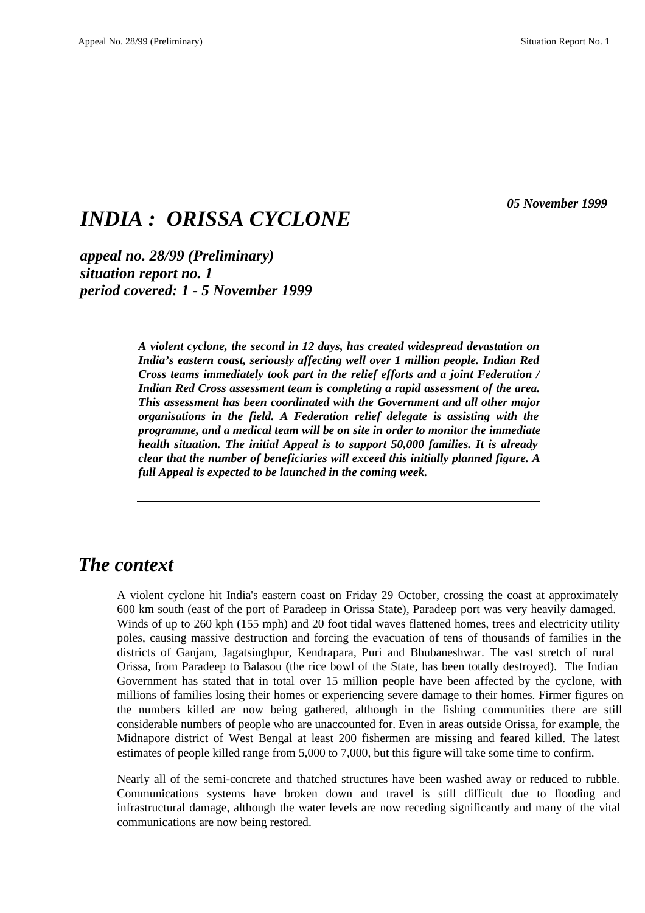*05 November 1999*

# *INDIA : ORISSA CYCLONE*

*appeal no. 28/99 (Preliminary) situation report no. 1 period covered: 1 - 5 November 1999*

> *A violent cyclone, the second in 12 days, has created widespread devastation on India's eastern coast, seriously affecting well over 1 million people. Indian Red Cross teams immediately took part in the relief efforts and a joint Federation / Indian Red Cross assessment team is completing a rapid assessment of the area. This assessment has been coordinated with the Government and all other major organisations in the field. A Federation relief delegate is assisting with the programme, and a medical team will be on site in order to monitor the immediate health situation. The initial Appeal is to support 50,000 families. It is already clear that the number of beneficiaries will exceed this initially planned figure. A full Appeal is expected to be launched in the coming week.*

### *The context*

A violent cyclone hit India's eastern coast on Friday 29 October, crossing the coast at approximately 600 km south (east of the port of Paradeep in Orissa State), Paradeep port was very heavily damaged. Winds of up to 260 kph (155 mph) and 20 foot tidal waves flattened homes, trees and electricity utility poles, causing massive destruction and forcing the evacuation of tens of thousands of families in the districts of Ganjam, Jagatsinghpur, Kendrapara, Puri and Bhubaneshwar. The vast stretch of rural Orissa, from Paradeep to Balasou (the rice bowl of the State, has been totally destroyed). The Indian Government has stated that in total over 15 million people have been affected by the cyclone, with millions of families losing their homes or experiencing severe damage to their homes. Firmer figures on the numbers killed are now being gathered, although in the fishing communities there are still considerable numbers of people who are unaccounted for. Even in areas outside Orissa, for example, the Midnapore district of West Bengal at least 200 fishermen are missing and feared killed. The latest estimates of people killed range from 5,000 to 7,000, but this figure will take some time to confirm.

Nearly all of the semi-concrete and thatched structures have been washed away or reduced to rubble. Communications systems have broken down and travel is still difficult due to flooding and infrastructural damage, although the water levels are now receding significantly and many of the vital communications are now being restored.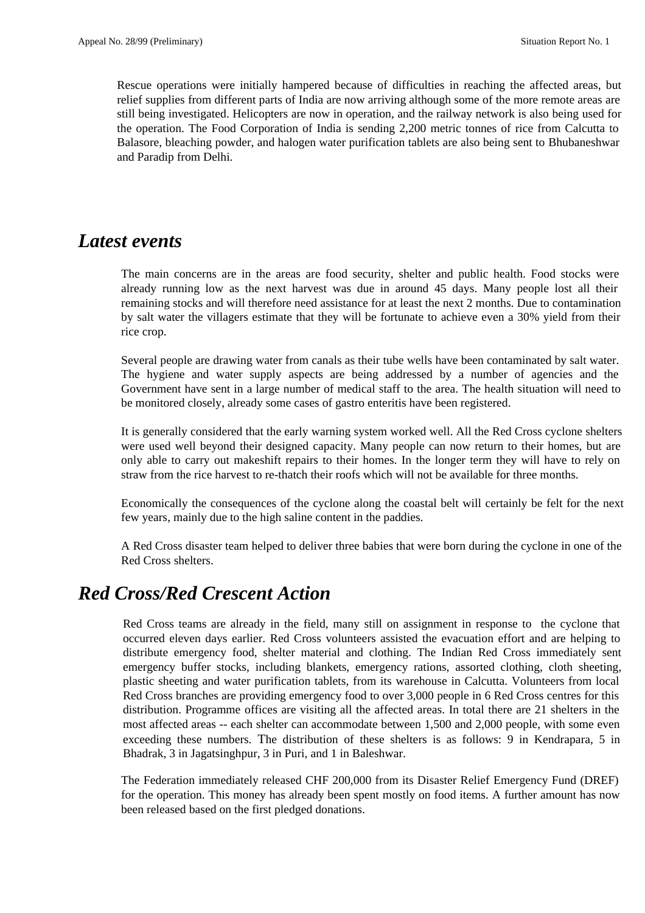Rescue operations were initially hampered because of difficulties in reaching the affected areas, but relief supplies from different parts of India are now arriving although some of the more remote areas are still being investigated. Helicopters are now in operation, and the railway network is also being used for the operation. The Food Corporation of India is sending 2,200 metric tonnes of rice from Calcutta to Balasore, bleaching powder, and halogen water purification tablets are also being sent to Bhubaneshwar and Paradip from Delhi.

### *Latest events*

The main concerns are in the areas are food security, shelter and public health. Food stocks were already running low as the next harvest was due in around 45 days. Many people lost all their remaining stocks and will therefore need assistance for at least the next 2 months. Due to contamination by salt water the villagers estimate that they will be fortunate to achieve even a 30% yield from their rice crop.

Several people are drawing water from canals as their tube wells have been contaminated by salt water. The hygiene and water supply aspects are being addressed by a number of agencies and the Government have sent in a large number of medical staff to the area. The health situation will need to be monitored closely, already some cases of gastro enteritis have been registered.

It is generally considered that the early warning system worked well. All the Red Cross cyclone shelters were used well beyond their designed capacity. Many people can now return to their homes, but are only able to carry out makeshift repairs to their homes. In the longer term they will have to rely on straw from the rice harvest to re-thatch their roofs which will not be available for three months.

Economically the consequences of the cyclone along the coastal belt will certainly be felt for the next few years, mainly due to the high saline content in the paddies.

A Red Cross disaster team helped to deliver three babies that were born during the cyclone in one of the Red Cross shelters.

## *Red Cross/Red Crescent Action*

Red Cross teams are already in the field, many still on assignment in response to the cyclone that occurred eleven days earlier. Red Cross volunteers assisted the evacuation effort and are helping to distribute emergency food, shelter material and clothing. The Indian Red Cross immediately sent emergency buffer stocks, including blankets, emergency rations, assorted clothing, cloth sheeting, plastic sheeting and water purification tablets, from its warehouse in Calcutta. Volunteers from local Red Cross branches are providing emergency food to over 3,000 people in 6 Red Cross centres for this distribution. Programme offices are visiting all the affected areas. In total there are 21 shelters in the most affected areas -- each shelter can accommodate between 1,500 and 2,000 people, with some even exceeding these numbers. The distribution of these shelters is as follows: 9 in Kendrapara, 5 in Bhadrak, 3 in Jagatsinghpur, 3 in Puri, and 1 in Baleshwar.

The Federation immediately released CHF 200,000 from its Disaster Relief Emergency Fund (DREF) for the operation. This money has already been spent mostly on food items. A further amount has now been released based on the first pledged donations.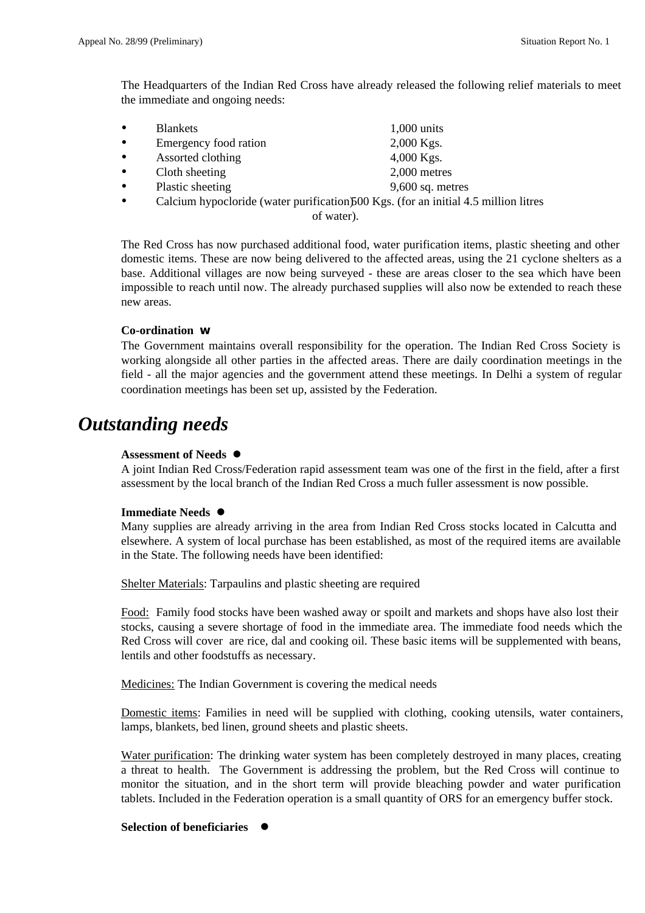The Headquarters of the Indian Red Cross have already released the following relief materials to meet the immediate and ongoing needs:

| ٠         | <b>Blankets</b>       | $1,000$ units               |
|-----------|-----------------------|-----------------------------|
| $\bullet$ | Emergency food ration | $2,000$ Kgs.                |
| ٠         | Assorted clothing     | $4,000$ Kgs.                |
| ٠         | Cloth sheeting        | $2,000$ metres              |
|           |                       | $\sim$ $\sim$ $\sim$ $\sim$ |

- Plastic sheeting 9,600 sq. metres
- Calcium hypocloride (water purification) $500$  Kgs. (for an initial 4.5 million litres

of water).

The Red Cross has now purchased additional food, water purification items, plastic sheeting and other domestic items. These are now being delivered to the affected areas, using the 21 cyclone shelters as a base. Additional villages are now being surveyed - these are areas closer to the sea which have been impossible to reach until now. The already purchased supplies will also now be extended to reach these new areas.

#### **Co-ordination w**

The Government maintains overall responsibility for the operation. The Indian Red Cross Society is working alongside all other parties in the affected areas. There are daily coordination meetings in the field - all the major agencies and the government attend these meetings. In Delhi a system of regular coordination meetings has been set up, assisted by the Federation.

## *Outstanding needs*

#### **Assessment of Needs** l

A joint Indian Red Cross/Federation rapid assessment team was one of the first in the field, after a first assessment by the local branch of the Indian Red Cross a much fuller assessment is now possible.

#### **Immediate Needs**  $\bullet$

Many supplies are already arriving in the area from Indian Red Cross stocks located in Calcutta and elsewhere. A system of local purchase has been established, as most of the required items are available in the State. The following needs have been identified:

Shelter Materials: Tarpaulins and plastic sheeting are required

Food: Family food stocks have been washed away or spoilt and markets and shops have also lost their stocks, causing a severe shortage of food in the immediate area. The immediate food needs which the Red Cross will cover are rice, dal and cooking oil. These basic items will be supplemented with beans, lentils and other foodstuffs as necessary.

Medicines: The Indian Government is covering the medical needs

Domestic items: Families in need will be supplied with clothing, cooking utensils, water containers, lamps, blankets, bed linen, ground sheets and plastic sheets.

Water purification: The drinking water system has been completely destroyed in many places, creating a threat to health. The Government is addressing the problem, but the Red Cross will continue to monitor the situation, and in the short term will provide bleaching powder and water purification tablets. Included in the Federation operation is a small quantity of ORS for an emergency buffer stock.

#### **Selection of beneficiaries**  $\bullet$